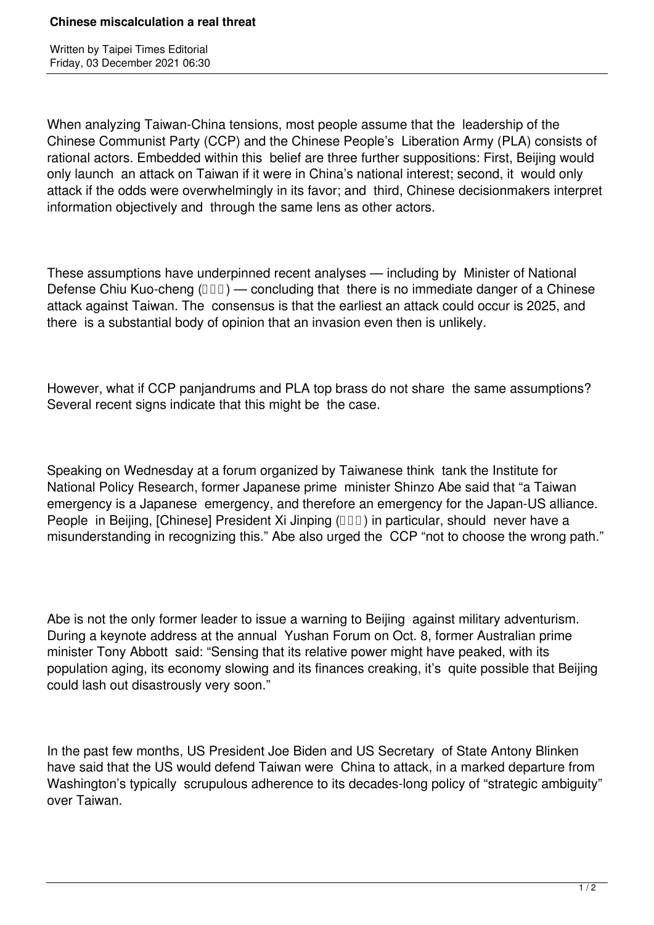When analyzing Taiwan-China tensions, most people assume that the leadership of the Chinese Communist Party (CCP) and the Chinese People's Liberation Army (PLA) consists of rational actors. Embedded within this belief are three further suppositions: First, Beijing would only launch an attack on Taiwan if it were in China's national interest; second, it would only attack if the odds were overwhelmingly in its favor; and third, Chinese decisionmakers interpret information objectively and through the same lens as other actors.

These assumptions have underpinned recent analyses — including by Minister of National Defense Chiu Kuo-cheng  $(III)$  — concluding that there is no immediate danger of a Chinese attack against Taiwan. The consensus is that the earliest an attack could occur is 2025, and there is a substantial body of opinion that an invasion even then is unlikely.

However, what if CCP panjandrums and PLA top brass do not share the same assumptions? Several recent signs indicate that this might be the case.

Speaking on Wednesday at a forum organized by Taiwanese think tank the Institute for National Policy Research, former Japanese prime minister Shinzo Abe said that "a Taiwan emergency is a Japanese emergency, and therefore an emergency for the Japan-US alliance. People in Beijing, [Chinese] President Xi Jinping ( $\Box\Box$ ) in particular, should never have a misunderstanding in recognizing this." Abe also urged the CCP "not to choose the wrong path."

Abe is not the only former leader to issue a warning to Beijing against military adventurism. During a keynote address at the annual Yushan Forum on Oct. 8, former Australian prime minister Tony Abbott said: "Sensing that its relative power might have peaked, with its population aging, its economy slowing and its finances creaking, it's quite possible that Beijing could lash out disastrously very soon."

In the past few months, US President Joe Biden and US Secretary of State Antony Blinken have said that the US would defend Taiwan were China to attack, in a marked departure from Washington's typically scrupulous adherence to its decades-long policy of "strategic ambiguity" over Taiwan.